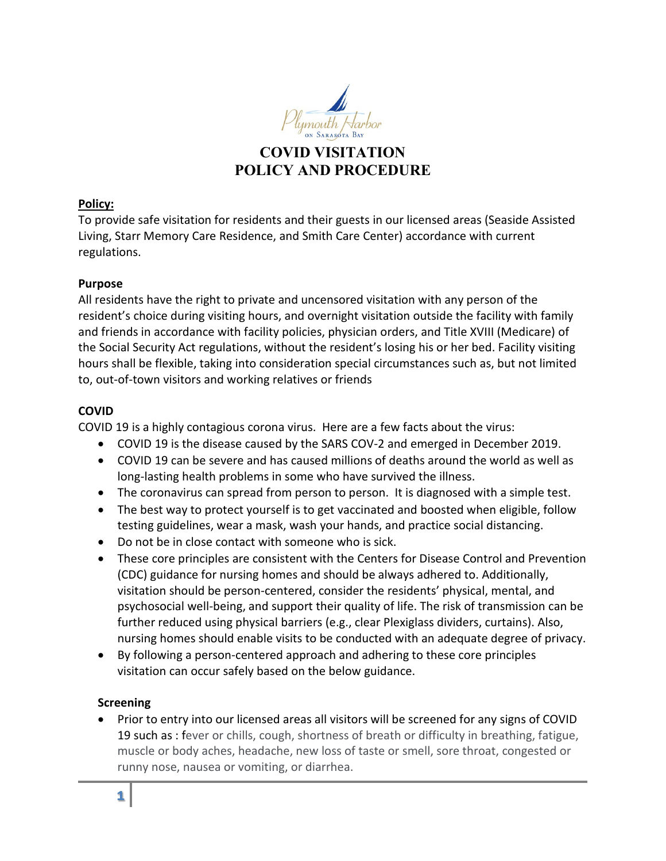

## **COVID VISITATION POLICY AND PROCEDURE**

#### **Policy:**

To provide safe visitation for residents and their guests in our licensed areas (Seaside Assisted Living, Starr Memory Care Residence, and Smith Care Center) accordance with current regulations.

#### **Purpose**

All residents have the right to private and uncensored visitation with any person of the resident's choice during visiting hours, and overnight visitation outside the facility with family and friends in accordance with facility policies, physician orders, and Title XVIII (Medicare) of the Social Security Act regulations, without the resident's losing his or her bed. Facility visiting hours shall be flexible, taking into consideration special circumstances such as, but not limited to, out-of-town visitors and working relatives or friends

## **COVID**

COVID 19 is a highly contagious corona virus. Here are a few facts about the virus:

- COVID 19 is the disease caused by the SARS COV-2 and emerged in December 2019.
- COVID 19 can be severe and has caused millions of deaths around the world as well as long-lasting health problems in some who have survived the illness.
- The coronavirus can spread from person to person. It is diagnosed with a simple test.
- The best way to protect yourself is to get vaccinated and boosted when eligible, follow testing guidelines, wear a mask, wash your hands, and practice social distancing.
- Do not be in close contact with someone who is sick.
- These core principles are consistent with the Centers for Disease Control and Prevention (CDC) guidance for nursing homes and should be always adhered to. Additionally, visitation should be person-centered, consider the residents' physical, mental, and psychosocial well-being, and support their quality of life. The risk of transmission can be further reduced using physical barriers (e.g., clear Plexiglass dividers, curtains). Also, nursing homes should enable visits to be conducted with an adequate degree of privacy.
- By following a person-centered approach and adhering to these core principles visitation can occur safely based on the below guidance.

#### **Screening**

• Prior to entry into our licensed areas all visitors will be screened for any signs of COVID 19 such as : fever or chills, cough, shortness of breath or difficulty in breathing, fatigue, muscle or body aches, headache, new loss of taste or smell, sore throat, congested or runny nose, nausea or vomiting, or diarrhea.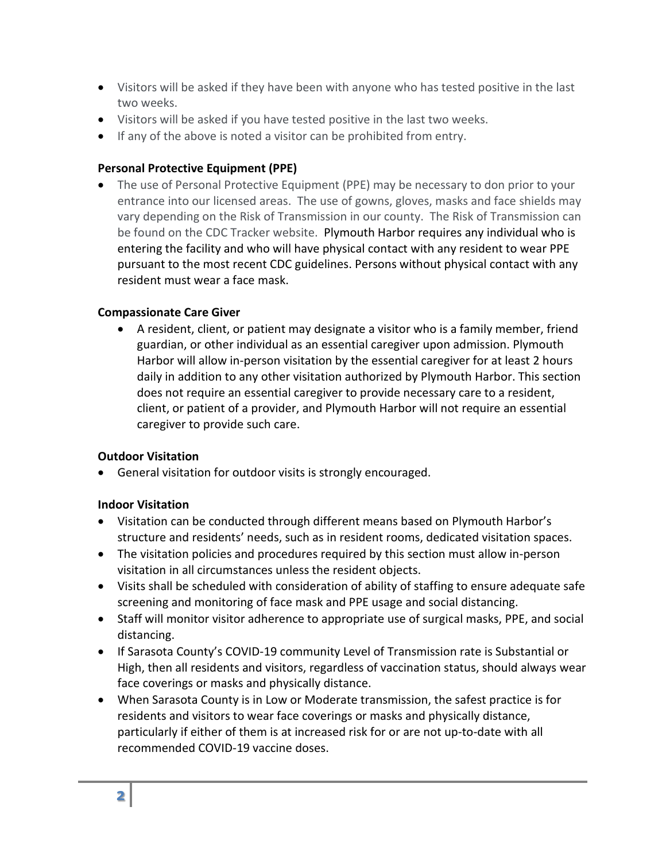- Visitors will be asked if they have been with anyone who has tested positive in the last two weeks.
- Visitors will be asked if you have tested positive in the last two weeks.
- If any of the above is noted a visitor can be prohibited from entry.

## **Personal Protective Equipment (PPE)**

• The use of Personal Protective Equipment (PPE) may be necessary to don prior to your entrance into our licensed areas. The use of gowns, gloves, masks and face shields may vary depending on the Risk of Transmission in our county. The Risk of Transmission can be found on the CDC Tracker website. Plymouth Harbor requires any individual who is entering the facility and who will have physical contact with any resident to wear PPE pursuant to the most recent CDC guidelines. Persons without physical contact with any resident must wear a face mask.

## **Compassionate Care Giver**

• A resident, client, or patient may designate a visitor who is a family member, friend guardian, or other individual as an essential caregiver upon admission. Plymouth Harbor will allow in-person visitation by the essential caregiver for at least 2 hours daily in addition to any other visitation authorized by Plymouth Harbor. This section does not require an essential caregiver to provide necessary care to a resident, client, or patient of a provider, and Plymouth Harbor will not require an essential caregiver to provide such care.

#### **Outdoor Visitation**

• General visitation for outdoor visits is strongly encouraged.

## **Indoor Visitation**

- Visitation can be conducted through different means based on Plymouth Harbor's structure and residents' needs, such as in resident rooms, dedicated visitation spaces.
- The visitation policies and procedures required by this section must allow in-person visitation in all circumstances unless the resident objects.
- Visits shall be scheduled with consideration of ability of staffing to ensure adequate safe screening and monitoring of face mask and PPE usage and social distancing.
- Staff will monitor visitor adherence to appropriate use of surgical masks, PPE, and social distancing.
- If Sarasota County's COVID-19 community Level of Transmission rate is Substantial or High, then all residents and visitors, regardless of vaccination status, should always wear face coverings or masks and physically distance.
- When Sarasota County is in Low or Moderate transmission, the safest practice is for residents and visitors to wear face coverings or masks and physically distance, particularly if either of them is at increased risk for or are not up-to-date with all recommended COVID-19 vaccine doses.